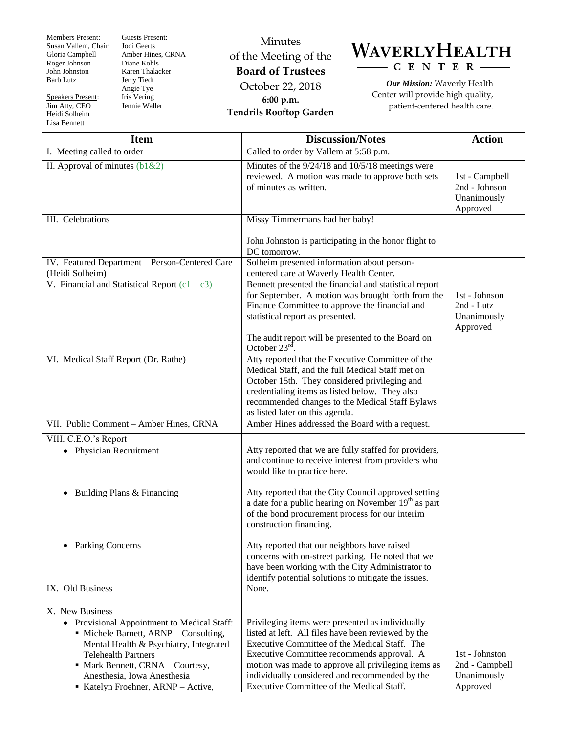Members Present: Susan Vallem, Chair Gloria Campbell Roger Johnson John Johnston Barb Lutz

Speakers Present: Jim Atty, CEO Heidi Solheim Lisa Bennett

Guests Present: Jodi Geerts Amber Hines, CRNA Diane Kohls Karen Thalacker Jerry Tiedt Angie Tye Iris Vering Jennie Waller

## Minutes of the Meeting of the **Board of Trustees** October 22, 2018 **6:00 p.m. Tendrils Rooftop Garden**



*Our Mission:* Waverly Health Center will provide high quality, patient-centered health care.

| <b>Item</b>                                                                                                                                                                                                                                                                            | <b>Discussion/Notes</b>                                                                                                                                                                                                                                                                                                                                      | <b>Action</b>                                               |
|----------------------------------------------------------------------------------------------------------------------------------------------------------------------------------------------------------------------------------------------------------------------------------------|--------------------------------------------------------------------------------------------------------------------------------------------------------------------------------------------------------------------------------------------------------------------------------------------------------------------------------------------------------------|-------------------------------------------------------------|
| I. Meeting called to order                                                                                                                                                                                                                                                             | Called to order by Vallem at 5:58 p.m.                                                                                                                                                                                                                                                                                                                       |                                                             |
| II. Approval of minutes $(b1&&2)$                                                                                                                                                                                                                                                      | Minutes of the 9/24/18 and 10/5/18 meetings were<br>reviewed. A motion was made to approve both sets<br>of minutes as written.                                                                                                                                                                                                                               | 1st - Campbell<br>2nd - Johnson<br>Unanimously<br>Approved  |
| III. Celebrations                                                                                                                                                                                                                                                                      | Missy Timmermans had her baby!                                                                                                                                                                                                                                                                                                                               |                                                             |
|                                                                                                                                                                                                                                                                                        | John Johnston is participating in the honor flight to<br>DC tomorrow.                                                                                                                                                                                                                                                                                        |                                                             |
| IV. Featured Department - Person-Centered Care<br>(Heidi Solheim)                                                                                                                                                                                                                      | Solheim presented information about person-<br>centered care at Waverly Health Center.                                                                                                                                                                                                                                                                       |                                                             |
| V. Financial and Statistical Report $(c1 - c3)$                                                                                                                                                                                                                                        | Bennett presented the financial and statistical report<br>for September. A motion was brought forth from the<br>Finance Committee to approve the financial and<br>statistical report as presented.<br>The audit report will be presented to the Board on<br>October $23rd$                                                                                   | 1st - Johnson<br>2nd - Lutz<br>Unanimously<br>Approved      |
| VI. Medical Staff Report (Dr. Rathe)                                                                                                                                                                                                                                                   | Atty reported that the Executive Committee of the<br>Medical Staff, and the full Medical Staff met on<br>October 15th. They considered privileging and<br>credentialing items as listed below. They also<br>recommended changes to the Medical Staff Bylaws<br>as listed later on this agenda.                                                               |                                                             |
| VII. Public Comment - Amber Hines, CRNA                                                                                                                                                                                                                                                | Amber Hines addressed the Board with a request.                                                                                                                                                                                                                                                                                                              |                                                             |
| VIII. C.E.O.'s Report<br>• Physician Recruitment                                                                                                                                                                                                                                       | Atty reported that we are fully staffed for providers,<br>and continue to receive interest from providers who<br>would like to practice here.                                                                                                                                                                                                                |                                                             |
| Building Plans & Financing                                                                                                                                                                                                                                                             | Atty reported that the City Council approved setting<br>a date for a public hearing on November 19 <sup>th</sup> as part<br>of the bond procurement process for our interim<br>construction financing.                                                                                                                                                       |                                                             |
| • Parking Concerns                                                                                                                                                                                                                                                                     | Atty reported that our neighbors have raised<br>concerns with on-street parking. He noted that we<br>have been working with the City Administrator to<br>identify potential solutions to mitigate the issues.                                                                                                                                                |                                                             |
| IX. Old Business                                                                                                                                                                                                                                                                       | None.                                                                                                                                                                                                                                                                                                                                                        |                                                             |
| X. New Business<br>• Provisional Appointment to Medical Staff:<br>• Michele Barnett, ARNP - Consulting,<br>Mental Health & Psychiatry, Integrated<br><b>Telehealth Partners</b><br>• Mark Bennett, CRNA - Courtesy,<br>Anesthesia, Iowa Anesthesia<br>Katelyn Froehner, ARNP - Active, | Privileging items were presented as individually<br>listed at left. All files have been reviewed by the<br>Executive Committee of the Medical Staff. The<br>Executive Committee recommends approval. A<br>motion was made to approve all privileging items as<br>individually considered and recommended by the<br>Executive Committee of the Medical Staff. | 1st - Johnston<br>2nd - Campbell<br>Unanimously<br>Approved |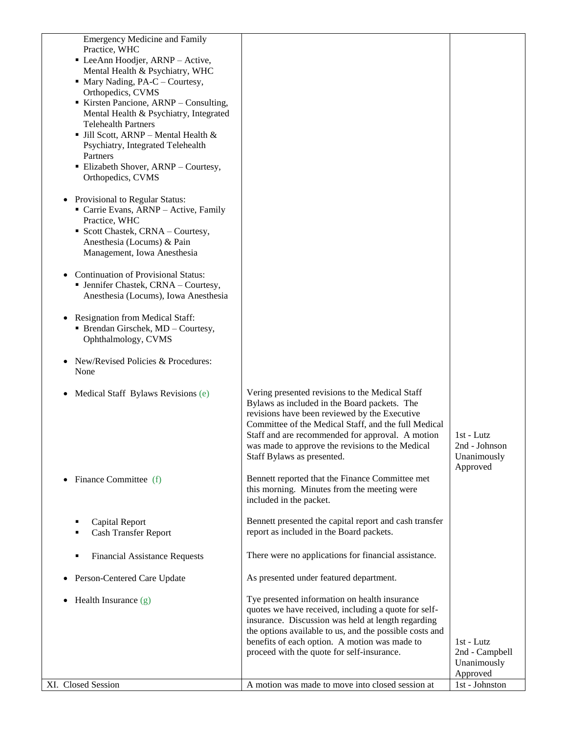| <b>Emergency Medicine and Family</b><br>Practice, WHC<br>• LeeAnn Hoodjer, ARNP - Active,<br>Mental Health & Psychiatry, WHC<br>• Mary Nading, PA-C – Courtesy,<br>Orthopedics, CVMS<br>Kirsten Pancione, ARNP - Consulting,<br>Mental Health & Psychiatry, Integrated<br><b>Telehealth Partners</b><br>$\blacksquare$ Jill Scott, ARNP – Mental Health &<br>Psychiatry, Integrated Telehealth<br>Partners<br>Elizabeth Shover, ARNP - Courtesy,<br>Orthopedics, CVMS |                                                                                                                                                                                                                                                                                                                                                |                                                         |
|-----------------------------------------------------------------------------------------------------------------------------------------------------------------------------------------------------------------------------------------------------------------------------------------------------------------------------------------------------------------------------------------------------------------------------------------------------------------------|------------------------------------------------------------------------------------------------------------------------------------------------------------------------------------------------------------------------------------------------------------------------------------------------------------------------------------------------|---------------------------------------------------------|
| Provisional to Regular Status:<br>$\bullet$<br>Carrie Evans, ARNP - Active, Family<br>Practice, WHC<br>• Scott Chastek, CRNA - Courtesy,<br>Anesthesia (Locums) & Pain<br>Management, Iowa Anesthesia                                                                                                                                                                                                                                                                 |                                                                                                                                                                                                                                                                                                                                                |                                                         |
| <b>Continuation of Provisional Status:</b><br>• Jennifer Chastek, CRNA - Courtesy,<br>Anesthesia (Locums), Iowa Anesthesia                                                                                                                                                                                                                                                                                                                                            |                                                                                                                                                                                                                                                                                                                                                |                                                         |
| <b>Resignation from Medical Staff:</b><br>• Brendan Girschek, MD - Courtesy,<br>Ophthalmology, CVMS                                                                                                                                                                                                                                                                                                                                                                   |                                                                                                                                                                                                                                                                                                                                                |                                                         |
| New/Revised Policies & Procedures:<br>None                                                                                                                                                                                                                                                                                                                                                                                                                            |                                                                                                                                                                                                                                                                                                                                                |                                                         |
| Medical Staff Bylaws Revisions (e)                                                                                                                                                                                                                                                                                                                                                                                                                                    | Vering presented revisions to the Medical Staff<br>Bylaws as included in the Board packets. The<br>revisions have been reviewed by the Executive<br>Committee of the Medical Staff, and the full Medical<br>Staff and are recommended for approval. A motion<br>was made to approve the revisions to the Medical<br>Staff Bylaws as presented. | $1st$ - Lutz<br>2nd - Johnson<br>Unanimously            |
| Finance Committee (f)<br>٠                                                                                                                                                                                                                                                                                                                                                                                                                                            | Bennett reported that the Finance Committee met<br>this morning. Minutes from the meeting were<br>included in the packet.                                                                                                                                                                                                                      | Approved                                                |
| Capital Report<br><b>Cash Transfer Report</b>                                                                                                                                                                                                                                                                                                                                                                                                                         | Bennett presented the capital report and cash transfer<br>report as included in the Board packets.                                                                                                                                                                                                                                             |                                                         |
| <b>Financial Assistance Requests</b><br>п                                                                                                                                                                                                                                                                                                                                                                                                                             | There were no applications for financial assistance.                                                                                                                                                                                                                                                                                           |                                                         |
| Person-Centered Care Update<br>$\bullet$                                                                                                                                                                                                                                                                                                                                                                                                                              | As presented under featured department.                                                                                                                                                                                                                                                                                                        |                                                         |
| Health Insurance (g)                                                                                                                                                                                                                                                                                                                                                                                                                                                  | Tye presented information on health insurance<br>quotes we have received, including a quote for self-<br>insurance. Discussion was held at length regarding<br>the options available to us, and the possible costs and<br>benefits of each option. A motion was made to<br>proceed with the quote for self-insurance.                          | 1st - Lutz<br>2nd - Campbell<br>Unanimously<br>Approved |
| XI. Closed Session                                                                                                                                                                                                                                                                                                                                                                                                                                                    | A motion was made to move into closed session at                                                                                                                                                                                                                                                                                               | 1st - Johnston                                          |